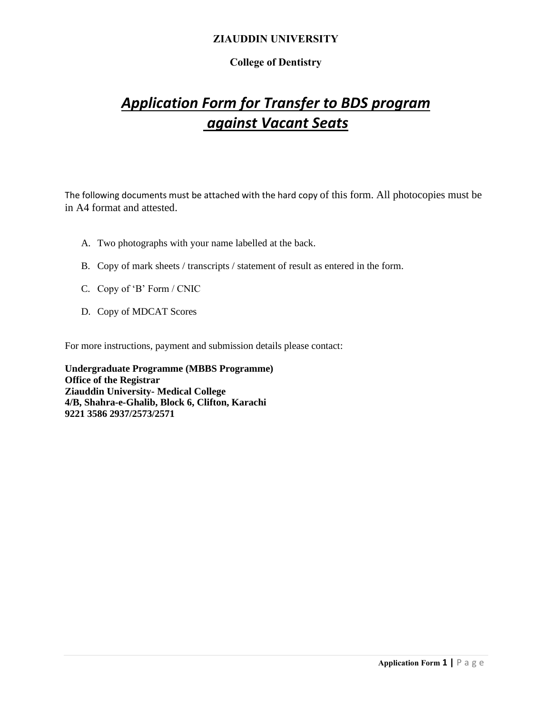# **College of Dentistry**

# *Application Form for Transfer to BDS program against Vacant Seats*

The following documents must be attached with the hard copy of this form. All photocopies must be in A4 format and attested.

- A. Two photographs with your name labelled at the back.
- B. Copy of mark sheets / transcripts / statement of result as entered in the form.
- C. Copy of 'B' Form / CNIC
- D. Copy of MDCAT Scores

For more instructions, payment and submission details please contact:

**Undergraduate Programme (MBBS Programme) Office of the Registrar Ziauddin University- Medical College 4/B, Shahra-e-Ghalib, Block 6, Clifton, Karachi 9221 3586 2937/2573/2571**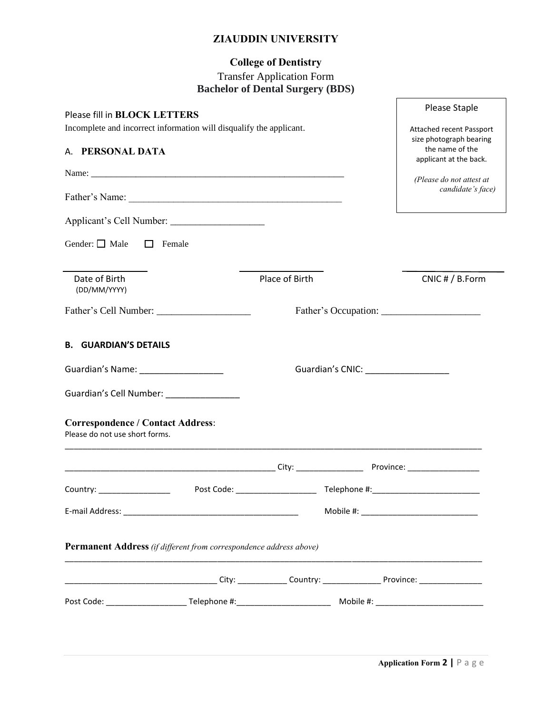# **College of Dentistry**

#### Transfer Application Form **Bachelor of Dental Surgery (BDS)**

| Please fill in BLOCK LETTERS<br>Incomplete and incorrect information will disqualify the applicant.<br>A. PERSONAL DATA<br>Gender: $\Box$ Male<br>$\Box$ | Female                                                                                                                        |                |                                       | Please Staple<br>Attached recent Passport<br>size photograph bearing<br>the name of the<br>applicant at the back.<br>(Please do not attest at<br>candidate's face) |
|----------------------------------------------------------------------------------------------------------------------------------------------------------|-------------------------------------------------------------------------------------------------------------------------------|----------------|---------------------------------------|--------------------------------------------------------------------------------------------------------------------------------------------------------------------|
| Date of Birth<br>(DD/MM/YYYY)                                                                                                                            |                                                                                                                               | Place of Birth |                                       | CNIC # / B.Form                                                                                                                                                    |
|                                                                                                                                                          |                                                                                                                               |                |                                       |                                                                                                                                                                    |
| <b>B. GUARDIAN'S DETAILS</b>                                                                                                                             |                                                                                                                               |                |                                       |                                                                                                                                                                    |
| Guardian's Name: ___________________                                                                                                                     |                                                                                                                               |                | Guardian's CNIC: ____________________ |                                                                                                                                                                    |
| Guardian's Cell Number: _________________                                                                                                                |                                                                                                                               |                |                                       |                                                                                                                                                                    |
| <b>Correspondence / Contact Address:</b><br>Please do not use short forms.                                                                               | <u> 1989 - Johann John Stone, mars et al. 1989 - John Stone, mars et al. 1989 - John Stone, mars et al. 1989 - John Stone</u> |                |                                       |                                                                                                                                                                    |
|                                                                                                                                                          |                                                                                                                               |                |                                       |                                                                                                                                                                    |
| Country: ___________________                                                                                                                             |                                                                                                                               |                |                                       |                                                                                                                                                                    |
|                                                                                                                                                          |                                                                                                                               |                |                                       |                                                                                                                                                                    |
| Permanent Address (if different from correspondence address above)                                                                                       |                                                                                                                               |                |                                       |                                                                                                                                                                    |
|                                                                                                                                                          |                                                                                                                               |                |                                       |                                                                                                                                                                    |
|                                                                                                                                                          |                                                                                                                               |                |                                       |                                                                                                                                                                    |
|                                                                                                                                                          |                                                                                                                               |                |                                       |                                                                                                                                                                    |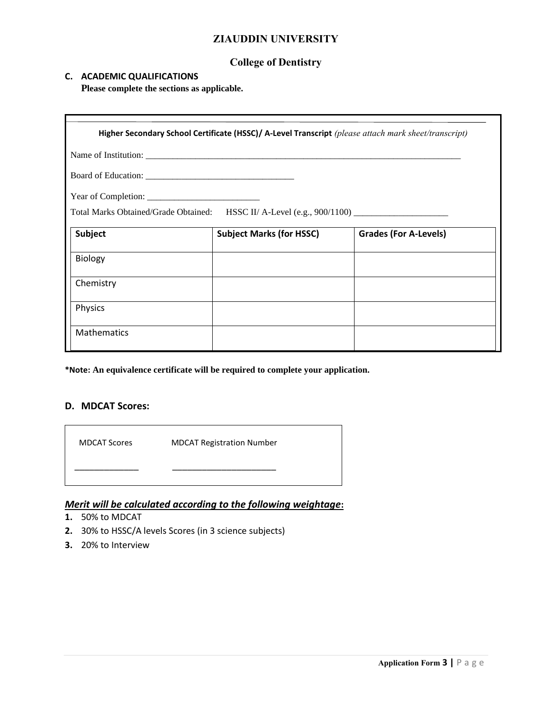#### **College of Dentistry**

#### **C. ACADEMIC QUALIFICATIONS**

**Please complete the sections as applicable.**

|                    | Higher Secondary School Certificate (HSSC)/ A-Level Transcript (please attach mark sheet/transcript) |                              |
|--------------------|------------------------------------------------------------------------------------------------------|------------------------------|
|                    |                                                                                                      |                              |
|                    |                                                                                                      |                              |
|                    |                                                                                                      |                              |
|                    | Total Marks Obtained/Grade Obtained: HSSC II/ A-Level (e.g., 900/1100) _____________________________ |                              |
| Subject            | <b>Subject Marks (for HSSC)</b>                                                                      | <b>Grades (For A-Levels)</b> |
| <b>Biology</b>     |                                                                                                      |                              |
| Chemistry          |                                                                                                      |                              |
| Physics            |                                                                                                      |                              |
| <b>Mathematics</b> |                                                                                                      |                              |

**\*Note: An equivalence certificate will be required to complete your application.**

#### **D. MDCAT Scores:**

 MDCAT Scores MDCAT Registration Number \_\_\_\_\_\_\_\_\_\_\_\_\_ \_\_\_\_\_\_\_\_\_\_\_\_\_\_\_\_\_\_\_\_\_

#### *Merit will be calculated according to the following weightage***:**

- **1.** 50% to MDCAT
- **2.** 30% to HSSC/A levels Scores (in 3 science subjects)
- **3.** 20% to Interview